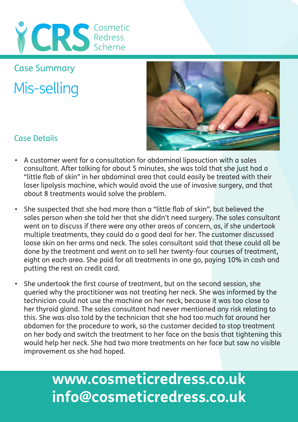

Mis-selling Case Summary



### Case Details

- A customer went for a consultation for abdominal liposuction with a sales consultant. After talking for about 5 minutes, she was told that she just had a "little flab of skin" in her abdominal area that could easily be treated with their laser lipolysis machine, which would avoid the use of invasive surgery, and that about 8 treatments would solve the problem.
- She suspected that she had more than a "little flab of skin", but believed the sales person when she told her that she didn't need surgery. The sales consultant went on to discuss if there were any other areas of concern, as, if she undertook multiple treatments, they could do a good deal for her. The customer discussed loose skin on her arms and neck. The sales consultant said that these could all be done by the treatment and went on to sell her twenty-four courses of treatment, eight on each area. She paid for all treatments in one go, paying 10% in cash and putting the rest on credit card.
- She undertook the first course of treatment, but on the second session, she queried why the practitioner was not treating her neck. She was informed by the technician could not use the machine on her neck, because it was too close to her thyroid gland. The sales consultant had never mentioned any risk relating to this. She was also told by the technician that she had too much fat around her abdomen for the procedure to work, so the customer decided to stop treatment on her body and switch the treatment to her face on the basis that tightening this would help her neck. She had two more treatments on her face but saw no visible improvement as she had hoped.

## **www.cosmeticredress.co.uk info@cosmeticredress.co.uk**